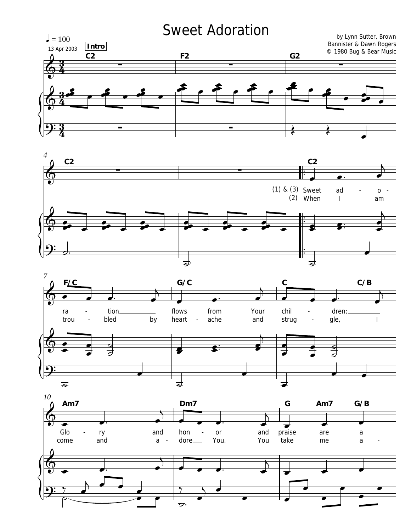## **Sweet Adoration**